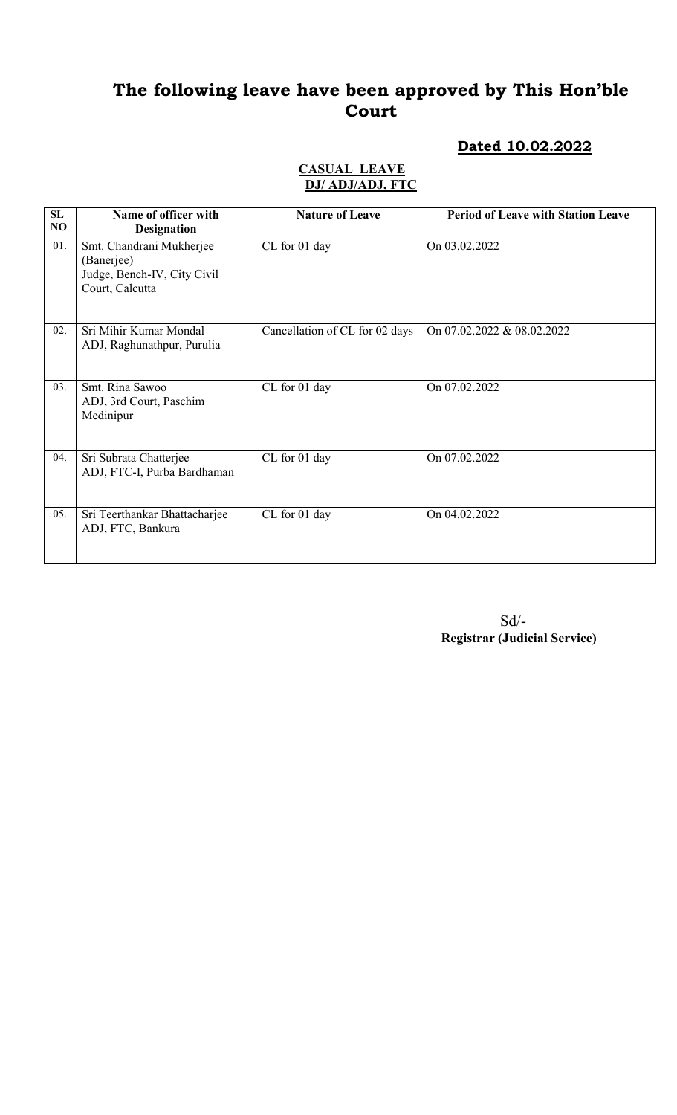### Dated 10.02.2022

#### CASUAL LEAVE DJ/ ADJ/ADJ, FTC

| SL<br>NO | Name of officer with<br><b>Designation</b>                                               | <b>Nature of Leave</b>         | <b>Period of Leave with Station Leave</b> |
|----------|------------------------------------------------------------------------------------------|--------------------------------|-------------------------------------------|
| 01.      | Smt. Chandrani Mukherjee<br>(Banerjee)<br>Judge, Bench-IV, City Civil<br>Court, Calcutta | CL for 01 day                  | On 03.02.2022                             |
| 02.      | Sri Mihir Kumar Mondal<br>ADJ, Raghunathpur, Purulia                                     | Cancellation of CL for 02 days | On 07.02.2022 & 08.02.2022                |
| 03.      | Smt. Rina Sawoo<br>ADJ, 3rd Court, Paschim<br>Medinipur                                  | CL for 01 day                  | On 07.02.2022                             |
| 04.      | Sri Subrata Chatterjee<br>ADJ, FTC-I, Purba Bardhaman                                    | CL for 01 day                  | On 07.02.2022                             |
| 05.      | Sri Teerthankar Bhattacharjee<br>ADJ, FTC, Bankura                                       | CL for 01 day                  | On 04.02.2022                             |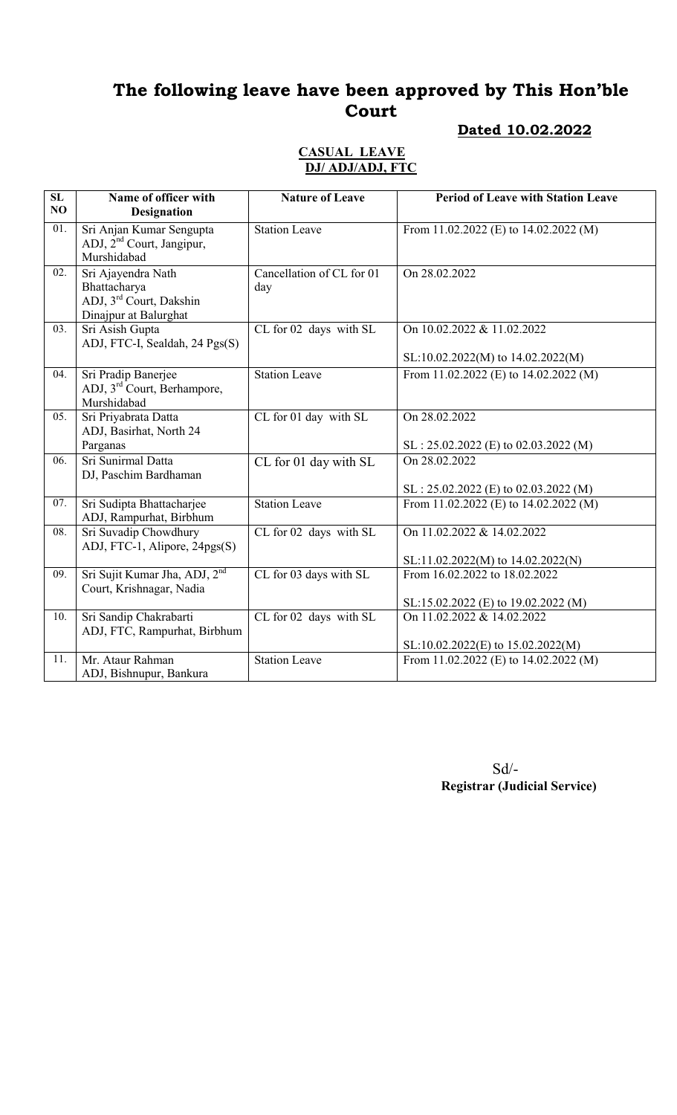### Dated 10.02.2022

#### CASUAL LEAVE DJ/ ADJ/ADJ, FTC

| $\overline{\text{SL}}$<br>NO | Name of officer with<br><b>Designation</b>                                                         | <b>Nature of Leave</b>           | <b>Period of Leave with Station Leave</b>                            |
|------------------------------|----------------------------------------------------------------------------------------------------|----------------------------------|----------------------------------------------------------------------|
| 01.                          | Sri Anjan Kumar Sengupta<br>ADJ, 2 <sup>nd</sup> Court, Jangipur,<br>Murshidabad                   | <b>Station Leave</b>             | From 11.02.2022 (E) to 14.02.2022 (M)                                |
| 02.                          | Sri Ajayendra Nath<br>Bhattacharya<br>ADJ, 3 <sup>rd</sup> Court, Dakshin<br>Dinajpur at Balurghat | Cancellation of CL for 01<br>day | On 28.02.2022                                                        |
| 03.                          | Sri Asish Gupta<br>ADJ, FTC-I, Sealdah, 24 Pgs(S)                                                  | CL for 02 days with SL           | On 10.02.2022 & 11.02.2022<br>SL:10.02.2022(M) to 14.02.2022(M)      |
| 04.                          | Sri Pradip Banerjee<br>ADJ, 3 <sup>rd</sup> Court, Berhampore,<br>Murshidabad                      | <b>Station Leave</b>             | From 11.02.2022 (E) to 14.02.2022 (M)                                |
| 05.                          | Sri Priyabrata Datta<br>ADJ, Basirhat, North 24<br>Parganas                                        | CL for 01 day with SL            | On 28.02.2022<br>$SL: 25.02.2022$ (E) to 02.03.2022 (M)              |
| 06.                          | Sri Sunirmal Datta<br>DJ, Paschim Bardhaman                                                        | CL for 01 day with SL            | On 28.02.2022<br>$SL: 25.02.2022$ (E) to 02.03.2022 (M)              |
| 07.                          | Sri Sudipta Bhattacharjee<br>ADJ, Rampurhat, Birbhum                                               | <b>Station Leave</b>             | From 11.02.2022 (E) to 14.02.2022 (M)                                |
| 08.                          | Sri Suvadip Chowdhury<br>ADJ, FTC-1, Alipore, 24pgs(S)                                             | CL for 02 days with SL           | On 11.02.2022 & 14.02.2022<br>SL:11.02.2022(M) to 14.02.2022(N)      |
| 09.                          | Sri Sujit Kumar Jha, ADJ, 2 <sup>nd</sup><br>Court, Krishnagar, Nadia                              | CL for 03 days with SL           | From 16.02.2022 to 18.02.2022<br>SL:15.02.2022 (E) to 19.02.2022 (M) |
| 10.                          | Sri Sandip Chakrabarti<br>ADJ, FTC, Rampurhat, Birbhum                                             | CL for 02 days with SL           | On 11.02.2022 & 14.02.2022<br>SL:10.02.2022(E) to 15.02.2022(M)      |
| 11.                          | Mr. Ataur Rahman<br>ADJ, Bishnupur, Bankura                                                        | <b>Station Leave</b>             | From 11.02.2022 (E) to 14.02.2022 (M)                                |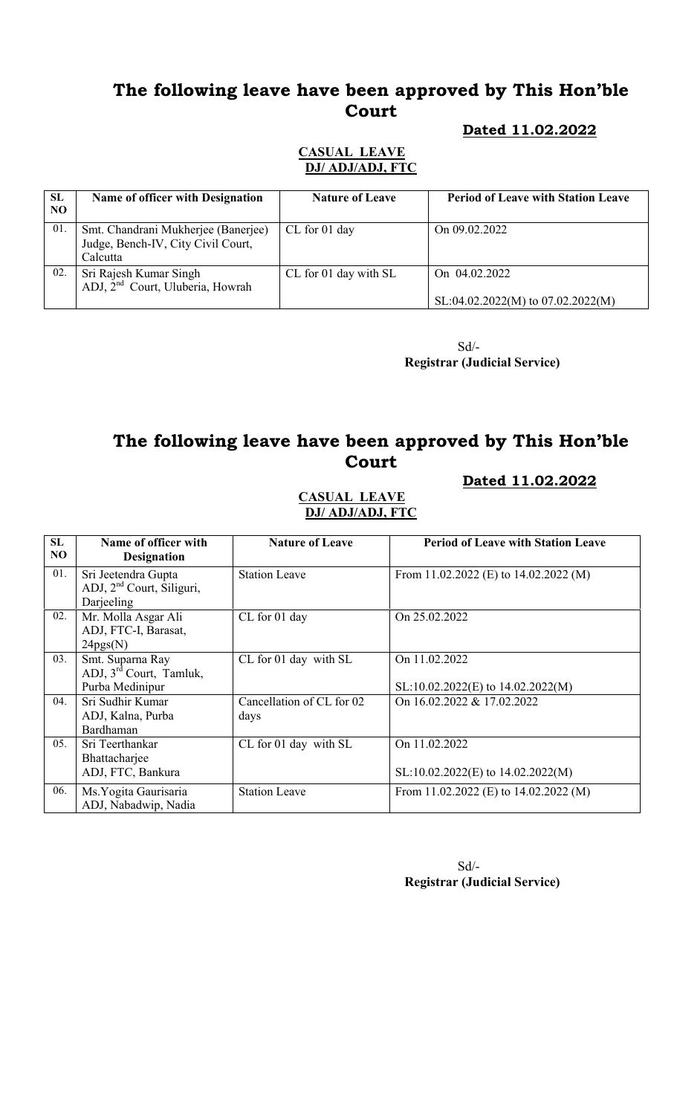#### Dated 11.02.2022

#### CASUAL LEAVE DJ/ ADJ/ADJ, FTC

| SL<br>N <sub>O</sub> | <b>Name of officer with Designation</b>                                               | <b>Nature of Leave</b> | <b>Period of Leave with Station Leave</b>          |
|----------------------|---------------------------------------------------------------------------------------|------------------------|----------------------------------------------------|
| 01                   | Smt. Chandrani Mukherjee (Banerjee)<br>Judge, Bench-IV, City Civil Court,<br>Calcutta | CL for 01 day          | On 09.02.2022                                      |
| 02.                  | Sri Rajesh Kumar Singh<br>ADJ, 2 <sup>nd</sup> Court, Uluberia, Howrah                | CL for 01 day with SL  | On 04.02.2022<br>SL:04.02.2022(M) to 07.02.2022(M) |

Sd/- Registrar (Judicial Service)

## The following leave have been approved by This Hon'ble **Court**

#### Dated 11.02.2022

#### CASUAL LEAVE DJ/ ADJ/ADJ, FTC

| SL<br>NO | Name of officer with<br><b>Designation</b>                                 | <b>Nature of Leave</b>            | <b>Period of Leave with Station Leave</b>              |
|----------|----------------------------------------------------------------------------|-----------------------------------|--------------------------------------------------------|
| 01.      | Sri Jeetendra Gupta<br>ADJ, 2 <sup>nd</sup> Court, Siliguri,<br>Darjeeling | <b>Station Leave</b>              | From 11.02.2022 (E) to 14.02.2022 (M)                  |
| 02.      | Mr. Molla Asgar Ali<br>ADJ, FTC-I, Barasat,<br>24pgs(N)                    | CL for 01 day                     | On 25.02.2022                                          |
| 03.      | Smt. Suparna Ray<br>ADJ, 3 <sup>rd</sup> Court, Tamluk,<br>Purba Medinipur | CL for 01 day with SL             | On 11.02.2022<br>$SL:10.02.2022(E)$ to $14.02.2022(M)$ |
| 04.      | Sri Sudhir Kumar<br>ADJ, Kalna, Purba<br>Bardhaman                         | Cancellation of CL for 02<br>days | On 16.02.2022 & 17.02.2022                             |
| 05.      | Sri Teerthankar<br>Bhattacharjee<br>ADJ, FTC, Bankura                      | CL for 01 day with SL             | On 11.02.2022<br>$SL:10.02.2022(E)$ to $14.02.2022(M)$ |
| 06.      | Ms. Yogita Gaurisaria<br>ADJ, Nabadwip, Nadia                              | <b>Station Leave</b>              | From 11.02.2022 (E) to $14.02.2022$ (M)                |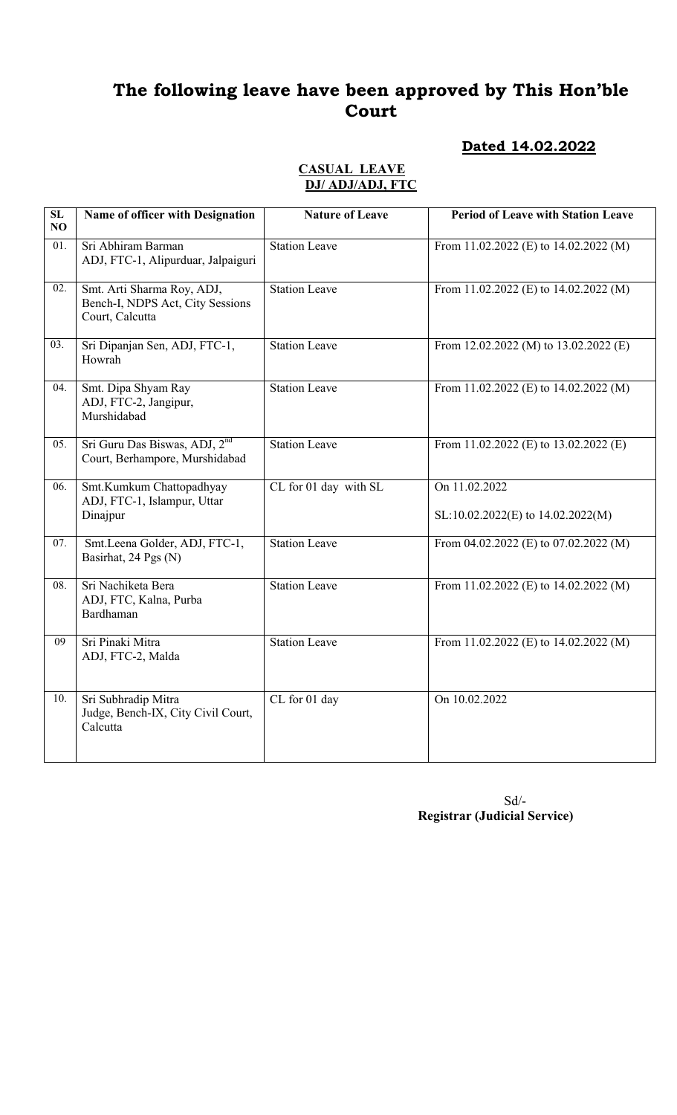### Dated 14.02.2022

#### CASUAL LEAVE DJ/ ADJ/ADJ, FTC

| ${\bf SL}$<br>NO  | Name of officer with Designation                                                  | <b>Nature of Leave</b> | <b>Period of Leave with Station Leave</b>              |
|-------------------|-----------------------------------------------------------------------------------|------------------------|--------------------------------------------------------|
| $\overline{01}$ . | Sri Abhiram Barman<br>ADJ, FTC-1, Alipurduar, Jalpaiguri                          | <b>Station Leave</b>   | From 11.02.2022 (E) to 14.02.2022 (M)                  |
| 02.               | Smt. Arti Sharma Roy, ADJ,<br>Bench-I, NDPS Act, City Sessions<br>Court, Calcutta | <b>Station Leave</b>   | From 11.02.2022 (E) to 14.02.2022 (M)                  |
| 03.               | Sri Dipanjan Sen, ADJ, FTC-1,<br>Howrah                                           | <b>Station Leave</b>   | From 12.02.2022 (M) to 13.02.2022 (E)                  |
| 04.               | Smt. Dipa Shyam Ray<br>ADJ, FTC-2, Jangipur,<br>Murshidabad                       | <b>Station Leave</b>   | From 11.02.2022 (E) to 14.02.2022 (M)                  |
| 05.               | Sri Guru Das Biswas, ADJ, 2 <sup>nd</sup><br>Court, Berhampore, Murshidabad       | <b>Station Leave</b>   | From 11.02.2022 (E) to 13.02.2022 (E)                  |
| 06.               | Smt.Kumkum Chattopadhyay<br>ADJ, FTC-1, Islampur, Uttar<br>Dinajpur               | CL for 01 day with SL  | On 11.02.2022<br>$SL:10.02.2022(E)$ to $14.02.2022(M)$ |
| 07.               | Smt.Leena Golder, ADJ, FTC-1,<br>Basirhat, 24 Pgs (N)                             | <b>Station Leave</b>   | From $04.02.2022$ (E) to $07.02.2022$ (M)              |
| $\overline{08}$ . | Sri Nachiketa Bera<br>ADJ, FTC, Kalna, Purba<br>Bardhaman                         | <b>Station Leave</b>   | From 11.02.2022 (E) to 14.02.2022 (M)                  |
| 09                | Sri Pinaki Mitra<br>ADJ, FTC-2, Malda                                             | <b>Station Leave</b>   | From 11.02.2022 (E) to 14.02.2022 (M)                  |
| 10.               | Sri Subhradip Mitra<br>Judge, Bench-IX, City Civil Court,<br>Calcutta             | CL for 01 day          | On 10.02.2022                                          |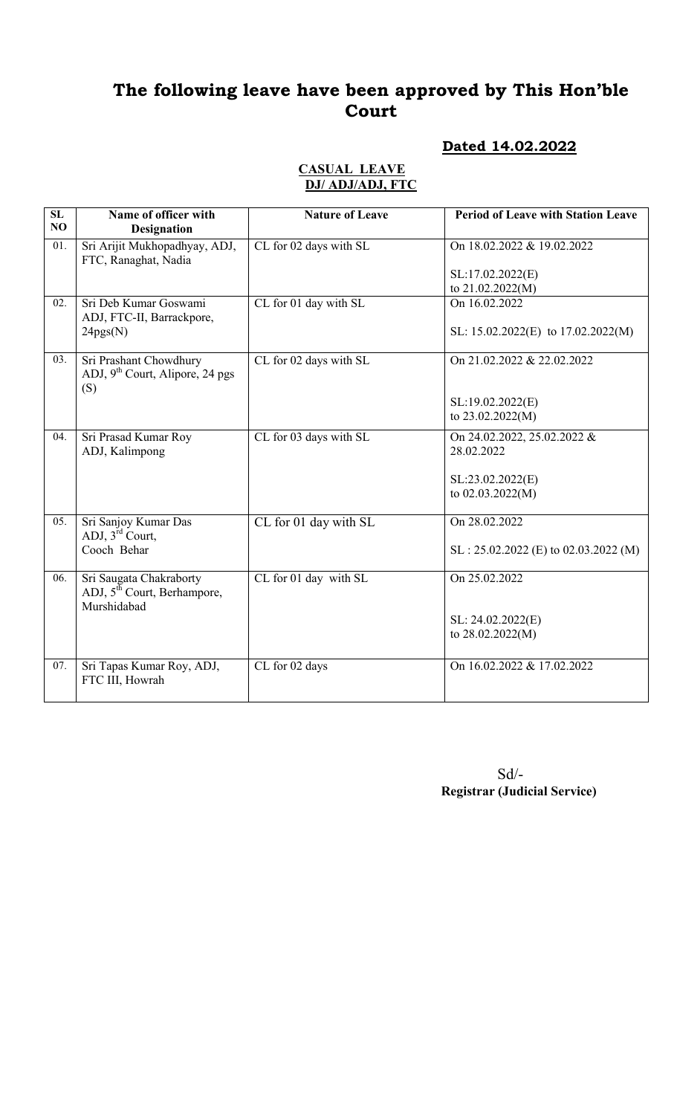#### Dated 14.02.2022

#### CASUAL LEAVE DJ/ ADJ/ADJ, FTC

| SL<br>NO          | Name of officer with<br><b>Designation</b>                                        | <b>Nature of Leave</b> | <b>Period of Leave with Station Leave</b> |
|-------------------|-----------------------------------------------------------------------------------|------------------------|-------------------------------------------|
| $\overline{01}$ . | Sri Arijit Mukhopadhyay, ADJ,<br>FTC, Ranaghat, Nadia                             | CL for 02 days with SL | On 18.02.2022 & 19.02.2022                |
|                   |                                                                                   |                        | SL:17.02.2022(E)<br>to 21.02.2022(M)      |
| 02.               | Sri Deb Kumar Goswami<br>ADJ, FTC-II, Barrackpore,                                | CL for 01 day with SL  | On 16.02.2022                             |
|                   | 24pgs(N)                                                                          |                        | SL: $15.02.2022(E)$ to $17.02.2022(M)$    |
| 03.               | Sri Prashant Chowdhury<br>ADJ, $9th$ Court, Alipore, 24 pgs<br>(S)                | CL for 02 days with SL | On 21.02.2022 & 22.02.2022                |
|                   |                                                                                   |                        | SL:19.02.2022(E)<br>to 23.02.2022(M)      |
| 04.               | Sri Prasad Kumar Roy<br>ADJ, Kalimpong                                            | CL for 03 days with SL | On 24.02.2022, 25.02.2022 &<br>28.02.2022 |
|                   |                                                                                   |                        | SL:23.02.2022(E)<br>to 02.03.2022(M)      |
| 05.               | Sri Sanjoy Kumar Das<br>ADJ, 3 <sup>rd</sup> Court,                               | CL for 01 day with SL  | On 28.02.2022                             |
|                   | Cooch Behar                                                                       |                        | $SL: 25.02.2022$ (E) to 02.03.2022 (M)    |
| 06.               | Sri Saugata Chakraborty<br>ADJ, 5 <sup>th</sup> Court, Berhampore,<br>Murshidabad | CL for 01 day with SL  | On 25.02.2022                             |
|                   |                                                                                   |                        | SL: 24.02.2022(E)<br>to 28.02.2022(M)     |
| 07.               | Sri Tapas Kumar Roy, ADJ,<br>FTC III, Howrah                                      | CL for 02 days         | On 16.02.2022 & 17.02.2022                |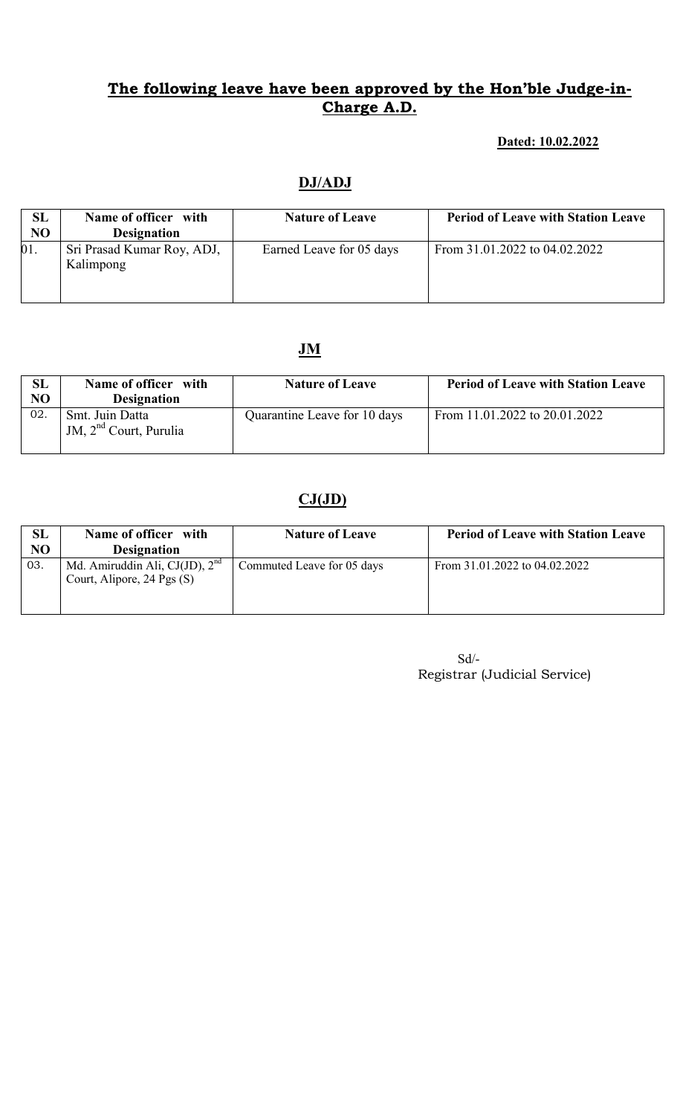#### Dated: 10.02.2022

## DJ/ADJ

| SL<br>N <sub>O</sub> | Name of officer with<br><b>Designation</b> | <b>Nature of Leave</b>   | <b>Period of Leave with Station Leave</b> |
|----------------------|--------------------------------------------|--------------------------|-------------------------------------------|
| 01.                  | Sri Prasad Kumar Roy, ADJ,<br>Kalimpong    | Earned Leave for 05 days | From 31.01.2022 to 04.02.2022             |

### JM

| SL<br>NO | Name of officer with<br><b>Designation</b>            | <b>Nature of Leave</b>       | <b>Period of Leave with Station Leave</b> |
|----------|-------------------------------------------------------|------------------------------|-------------------------------------------|
| 02.      | Smt. Juin Datta<br>JM, 2 <sup>nd</sup> Court, Purulia | Quarantine Leave for 10 days | From 11.01.2022 to 20.01.2022             |

# $CJ(JD)$

| SL  | Name of officer with                                             | <b>Nature of Leave</b>     | <b>Period of Leave with Station Leave</b> |
|-----|------------------------------------------------------------------|----------------------------|-------------------------------------------|
| NO  | <b>Designation</b>                                               |                            |                                           |
| 03. | Md. Amiruddin Ali, CJ(JD), $2nd$<br>Court, Alipore, 24 Pgs $(S)$ | Commuted Leave for 05 days | From 31.01.2022 to 04.02.2022             |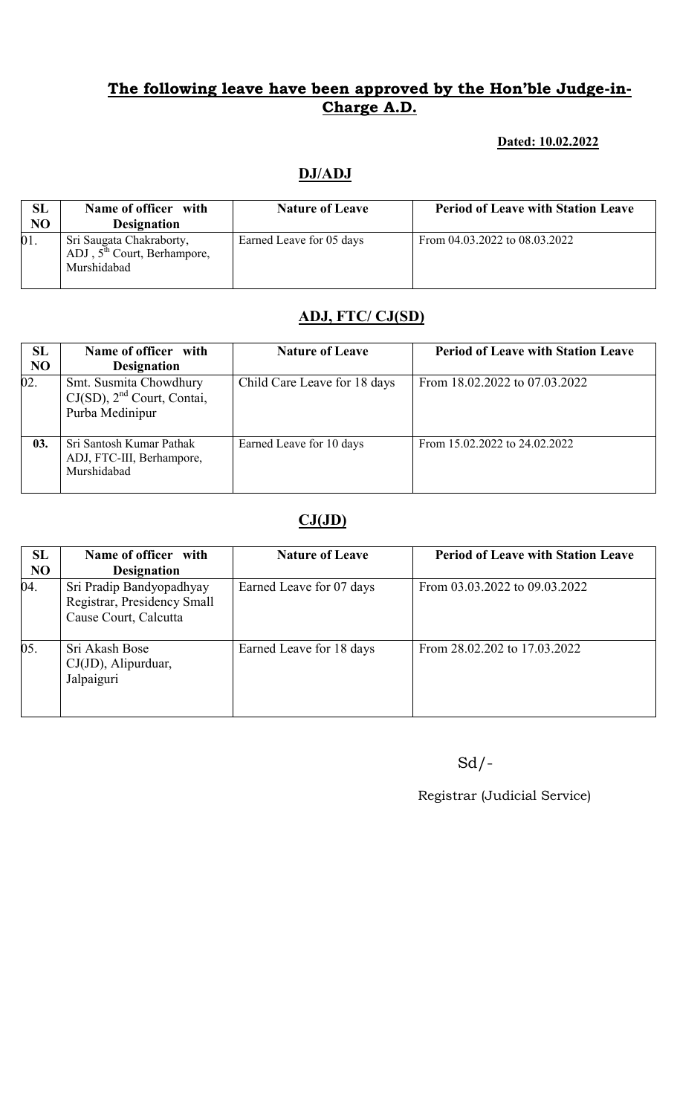#### Dated: 10.02.2022

## DJ/ADJ

| SL<br>N <sub>O</sub> | Name of officer with<br><b>Designation</b>                               | <b>Nature of Leave</b>   | <b>Period of Leave with Station Leave</b> |
|----------------------|--------------------------------------------------------------------------|--------------------------|-------------------------------------------|
| 01.                  | Sri Saugata Chakraborty,<br>ADJ, $5th$ Court, Berhampore,<br>Murshidabad | Earned Leave for 05 days | From 04.03.2022 to 08.03.2022             |

# ADJ, FTC/ CJ(SD)

| SL<br><b>NO</b> | Name of officer with<br><b>Designation</b>                                   | <b>Nature of Leave</b>       | <b>Period of Leave with Station Leave</b> |
|-----------------|------------------------------------------------------------------------------|------------------------------|-------------------------------------------|
| 02.             | Smt. Susmita Chowdhury<br>$CJ(SD)$ , $2nd$ Court, Contai,<br>Purba Medinipur | Child Care Leave for 18 days | From 18.02.2022 to 07.03.2022             |
| 03.             | Sri Santosh Kumar Pathak<br>ADJ, FTC-III, Berhampore,<br>Murshidabad         | Earned Leave for 10 days     | From 15.02.2022 to 24.02.2022             |

# $CJ(JD)$

| SL             | Name of officer with                                                             | <b>Nature of Leave</b>   | <b>Period of Leave with Station Leave</b> |
|----------------|----------------------------------------------------------------------------------|--------------------------|-------------------------------------------|
| N <sub>O</sub> | <b>Designation</b>                                                               |                          |                                           |
| 04.            | Sri Pradip Bandyopadhyay<br>Registrar, Presidency Small<br>Cause Court, Calcutta | Earned Leave for 07 days | From 03.03.2022 to 09.03.2022             |
| 05.            | Sri Akash Bose<br>CJ(JD), Alipurduar,<br>Jalpaiguri                              | Earned Leave for 18 days | From 28.02.202 to 17.03.2022              |

Sd/-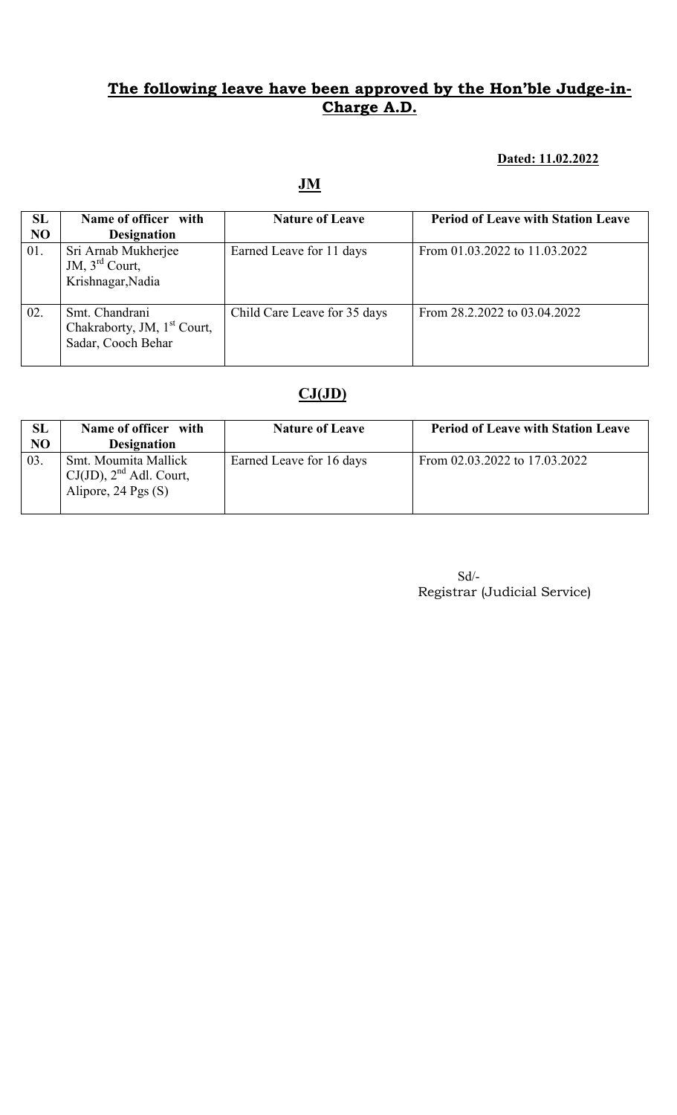#### Dated: 11.02.2022

JM

| SL<br><b>NO</b> | Name of officer with<br><b>Designation</b>                                      | <b>Nature of Leave</b>       | <b>Period of Leave with Station Leave</b> |
|-----------------|---------------------------------------------------------------------------------|------------------------------|-------------------------------------------|
| 01.             | Sri Arnab Mukherjee<br>JM, $3rd$ Court,<br>Krishnagar, Nadia                    | Earned Leave for 11 days     | From 01.03.2022 to 11.03.2022             |
| 02.             | Smt. Chandrani<br>Chakraborty, JM, 1 <sup>st</sup> Court,<br>Sadar, Cooch Behar | Child Care Leave for 35 days | From 28.2.2022 to 03.04.2022              |

# $CJ(JD)$

| <b>SL</b><br>N <sub>O</sub> | Name of officer with<br><b>Designation</b>                                  | <b>Nature of Leave</b>   | <b>Period of Leave with Station Leave</b> |
|-----------------------------|-----------------------------------------------------------------------------|--------------------------|-------------------------------------------|
| 03.                         | Smt. Moumita Mallick<br>$CJ(JD)$ , $2nd$ Adl. Court,<br>Alipore, 24 Pgs (S) | Earned Leave for 16 days | From 02.03.2022 to 17.03.2022             |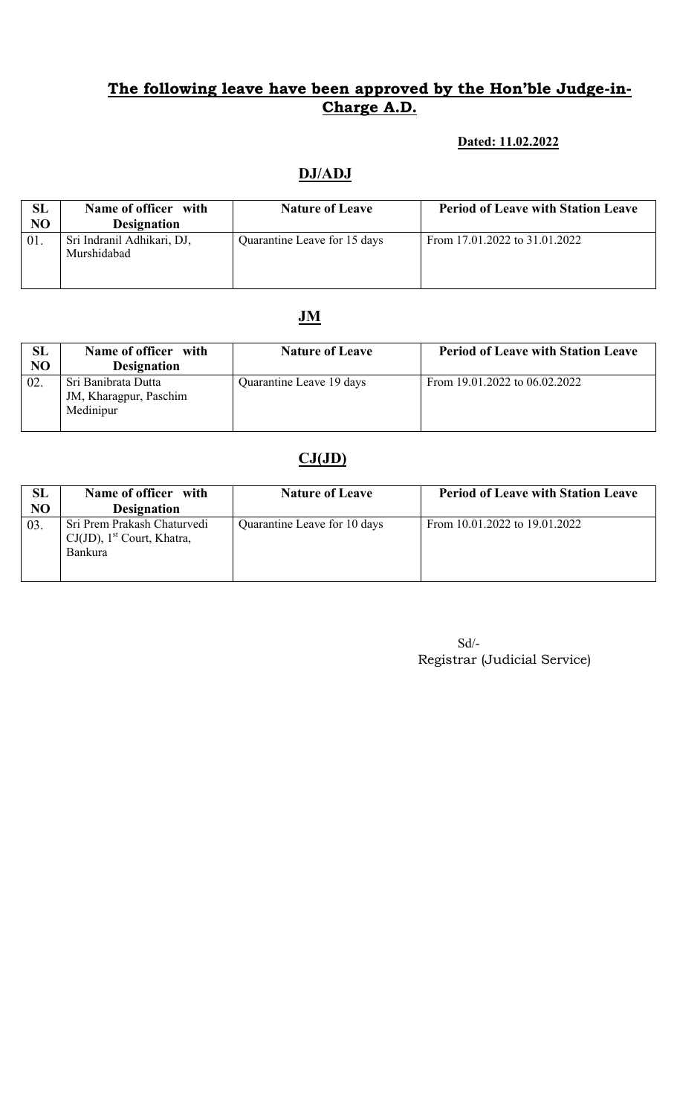#### Dated: 11.02.2022

## DJ/ADJ

| SL<br>N <sub>O</sub> | Name of officer with<br><b>Designation</b> | <b>Nature of Leave</b>       | <b>Period of Leave with Station Leave</b> |
|----------------------|--------------------------------------------|------------------------------|-------------------------------------------|
| 01                   | Sri Indranil Adhikari, DJ,<br>Murshidabad  | Quarantine Leave for 15 days | From 17.01.2022 to 31.01.2022             |

## JM

| SL<br>NO | Name of officer with<br><b>Designation</b>                 | <b>Nature of Leave</b>   | <b>Period of Leave with Station Leave</b> |
|----------|------------------------------------------------------------|--------------------------|-------------------------------------------|
| 02.      | Sri Banibrata Dutta<br>JM, Kharagpur, Paschim<br>Medinipur | Quarantine Leave 19 days | From 19.01.2022 to 06.02.2022             |

## $CJ(JD)$

| SL  | Name of officer with                                                                       | <b>Nature of Leave</b>       | <b>Period of Leave with Station Leave</b> |
|-----|--------------------------------------------------------------------------------------------|------------------------------|-------------------------------------------|
| NO  | <b>Designation</b>                                                                         |                              |                                           |
| 03. | Sri Prem Prakash Chaturvedi<br>$CJ(JD)$ , 1 <sup>st</sup> Court, Khatra,<br><b>Bankura</b> | Quarantine Leave for 10 days | From $10.01,2022$ to $19.01,2022$         |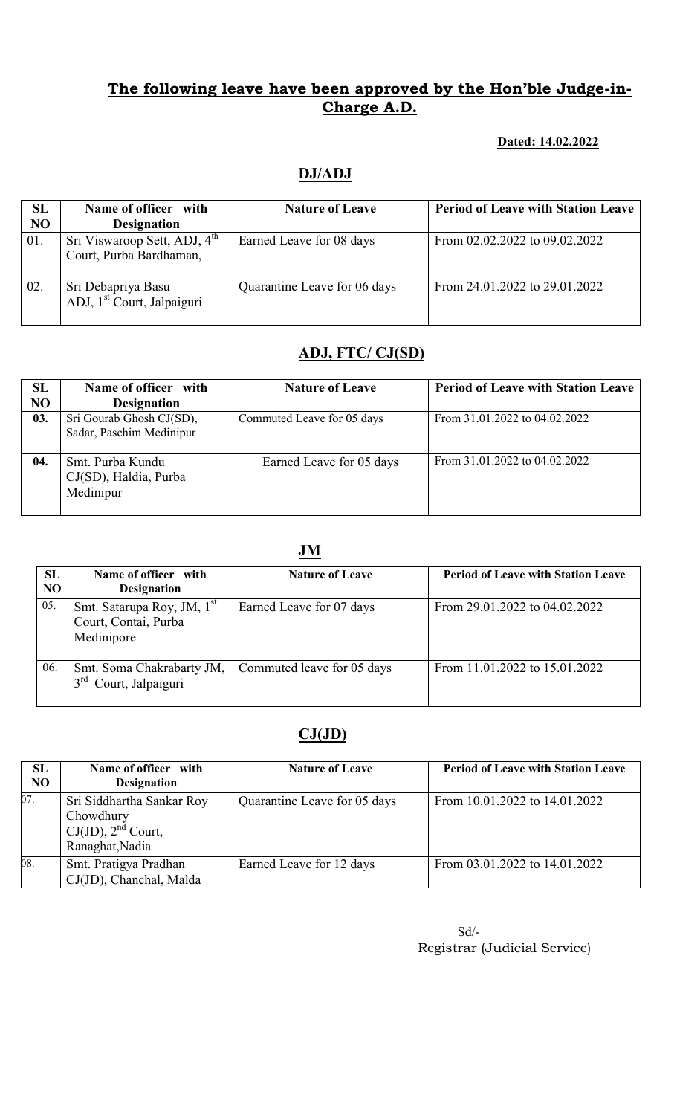#### Dated: 14.02.2022

### DJ/ADJ

| SL<br>NO | Name of officer with<br><b>Designation</b>                          | <b>Nature of Leave</b>       | <b>Period of Leave with Station Leave</b> |
|----------|---------------------------------------------------------------------|------------------------------|-------------------------------------------|
| 01.      | Sri Viswaroop Sett, ADJ, 4 <sup>th</sup><br>Court, Purba Bardhaman, | Earned Leave for 08 days     | From 02.02.2022 to 09.02.2022             |
| 02.      | Sri Debapriya Basu<br>ADJ, 1 <sup>st</sup> Court, Jalpaiguri        | Quarantine Leave for 06 days | From 24.01.2022 to 29.01.2022             |

### ADJ, FTC/ CJ(SD)

| SL  | Name of officer with     | <b>Nature of Leave</b>     | <b>Period of Leave with Station Leave</b> |
|-----|--------------------------|----------------------------|-------------------------------------------|
| NO  | <b>Designation</b>       |                            |                                           |
| 03. | Sri Gourab Ghosh CJ(SD), | Commuted Leave for 05 days | From 31.01.2022 to 04.02.2022             |
|     | Sadar, Paschim Medinipur |                            |                                           |
|     |                          |                            |                                           |
| 04. | Smt. Purba Kundu         | Earned Leave for 05 days   | From 31.01.2022 to 04.02.2022             |
|     | CJ(SD), Haldia, Purba    |                            |                                           |
|     | Medinipur                |                            |                                           |
|     |                          |                            |                                           |

#### JM

| <b>SL</b><br>N <sub>O</sub> | Name of officer with<br><b>Designation</b>                                   | <b>Nature of Leave</b>     | <b>Period of Leave with Station Leave</b> |
|-----------------------------|------------------------------------------------------------------------------|----------------------------|-------------------------------------------|
| 05.                         | Smt. Satarupa Roy, JM, 1 <sup>st</sup><br>Court, Contai, Purba<br>Medinipore | Earned Leave for 07 days   | From 29.01.2022 to 04.02.2022             |
| 06.                         | Smt. Soma Chakrabarty JM,<br>Court, Jalpaiguri                               | Commuted leave for 05 days | From 11.01.2022 to 15.01.2022             |

## $CJ(JD)$

| SL<br>N <sub>O</sub> | Name of officer with<br><b>Designation</b>                                           | <b>Nature of Leave</b>       | <b>Period of Leave with Station Leave</b> |
|----------------------|--------------------------------------------------------------------------------------|------------------------------|-------------------------------------------|
| 07.                  | Sri Siddhartha Sankar Roy<br>Chowdhury<br>$CJ(JD)$ , $2nd$ Court,<br>Ranaghat, Nadia | Quarantine Leave for 05 days | From 10.01.2022 to 14.01.2022             |
| 08.                  | Smt. Pratigya Pradhan<br>CJ(JD), Chanchal, Malda                                     | Earned Leave for 12 days     | From 03.01.2022 to 14.01.2022             |